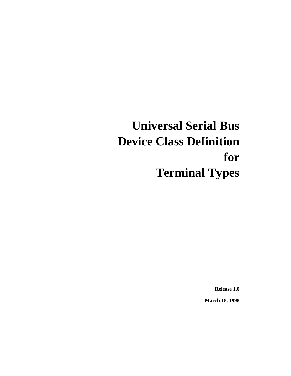# **Universal Serial Bus Device Class Definition for Terminal Types**

**Release 1.0**

**March 18, 1998**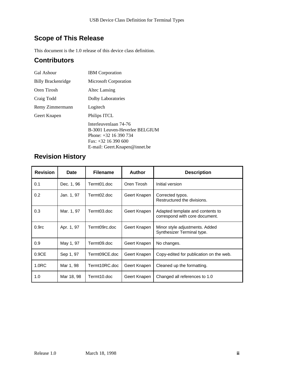# **Scope of This Release**

This document is the 1.0 release of this device class definition.

## **Contributors**

| <b>Gal Ashour</b>         | <b>IBM</b> Corporation                                                                                                                       |
|---------------------------|----------------------------------------------------------------------------------------------------------------------------------------------|
| <b>Billy Brackenridge</b> | <b>Microsoft Corporation</b>                                                                                                                 |
| Oren Tirosh               | Altec Lansing                                                                                                                                |
| Craig Todd                | Dolby Laboratories                                                                                                                           |
| Remy Zimmermann           | Logitech                                                                                                                                     |
| Geert Knapen              | Philips ITCL                                                                                                                                 |
|                           | Interleuvenlaan 74-76<br>B-3001 Leuven-Heverlee BELGIUM<br>Phone: $+32$ 16 390 734<br>Fax: $+32$ 16 390 600<br>E-mail: Geert.Knapen@innet.be |

## **Revision History**

| <b>Revision</b>   | Date       | <b>Filename</b> | <b>Author</b> | <b>Description</b>                                                 |
|-------------------|------------|-----------------|---------------|--------------------------------------------------------------------|
| 0.1               | Dec. 1, 96 | Termt01.doc     | Oren Tirosh   | Initial version                                                    |
| 0.2               | Jan. 1, 97 | Termt02.doc     | Geert Knapen  | Corrected typos.<br>Restructured the divisions.                    |
| 0.3               | Mar. 1, 97 | Termt03.doc     | Geert Knapen  | Adapted template and contents to<br>correspond with core document. |
| 0.9 <sub>rc</sub> | Apr. 1, 97 | Termt09rc.doc   | Geert Knapen  | Minor style adjustments. Added<br>Synthesizer Terminal type.       |
| 0.9               | May 1, 97  | Termt09.doc     | Geert Knapen  | No changes.                                                        |
| 0.9CE             | Sep 1, 97  | Termt09CE.doc   | Geert Knapen  | Copy-edited for publication on the web.                            |
| 1.0 <sub>RC</sub> | Mar 1, 98  | Termt10RC.doc   | Geert Knapen  | Cleaned up the formatting.                                         |
| 1.0               | Mar 18, 98 | Termt10.doc     | Geert Knapen  | Changed all references to 1.0                                      |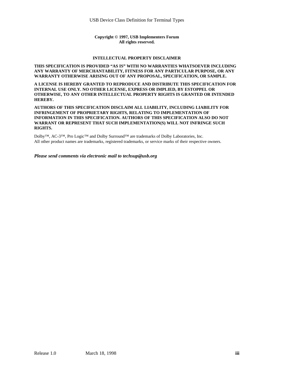#### **Copyright © 1997, USB Implementers Forum All rights reserved.**

#### **INTELLECTUAL PROPERTY DISCLAIMER**

#### **THIS SPECIFICATION IS PROVIDED "AS IS" WITH NO WARRANTIES WHATSOEVER INCLUDING ANY WARRANTY OF MERCHANTABILITY, FITNESS FOR ANY PARTICULAR PURPOSE, OR ANY WARRANTY OTHERWISE ARISING OUT OF ANY PROPOSAL, SPECIFICATION, OR SAMPLE.**

**A LICENSE IS HEREBY GRANTED TO REPRODUCE AND DISTRIBUTE THIS SPECIFICATION FOR INTERNAL USE ONLY. NO OTHER LICENSE, EXPRESS OR IMPLIED, BY ESTOPPEL OR OTHERWISE, TO ANY OTHER INTELLECTUAL PROPERTY RIGHTS IS GRANTED OR INTENDED HEREBY.**

**AUTHORS OF THIS SPECIFICATION DISCLAIM ALL LIABILITY, INCLUDING LIABILITY FOR INFRINGEMENT OF PROPRIETARY RIGHTS, RELATING TO IMPLEMENTATION OF INFORMATION IN THIS SPECIFICATION. AUTHORS OF THIS SPECIFICATION ALSO DO NOT WARRANT OR REPRESENT THAT SUCH IMPLEMENTATION(S) WILL NOT INFRINGE SUCH RIGHTS.**

Dolby™, AC-3™, Pro Logic™ and Dolby Surround™ are trademarks of Dolby Laboratories, Inc. All other product names are trademarks, registered trademarks, or service marks of their respective owners.

*Please send comments via electronic mail to techsup@usb.org*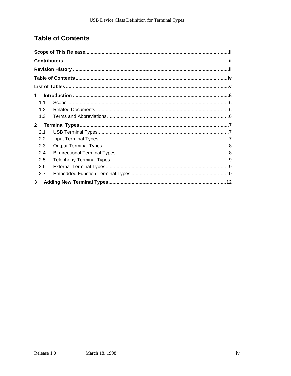# **Table of Contents**

| 1            |  |
|--------------|--|
| 11           |  |
| 1.2          |  |
| 1.3          |  |
| $\mathbf{2}$ |  |
| 2.1          |  |
| 2.2          |  |
| 2.3          |  |
| 2.4          |  |
| 2.5          |  |
| 2.6          |  |
| 2.7          |  |
| 3            |  |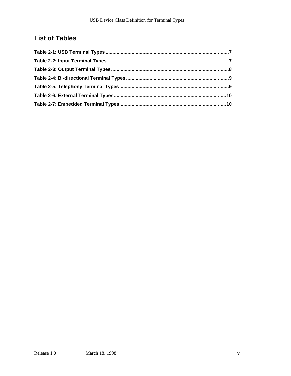## **List of Tables**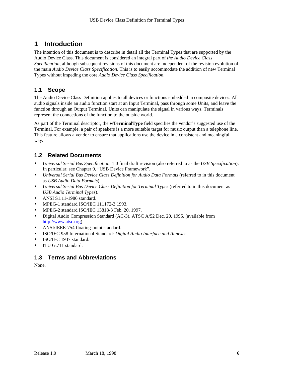## **1 Introduction**

The intention of this document is to describe in detail all the Terminal Types that are supported by the Audio Device Class. This document is considered an integral part of *the Audio Device Class Specification*, although subsequent revisions of this document are independent of the revision evolution of the main *Audio Device Class Specification*. This is to easily accommodate the addition of new Terminal Types without impeding the core *Audio Device Class Specification*.

#### **1.1 Scope**

The Audio Device Class Definition applies to all devices or functions embedded in composite devices. All audio signals inside an audio function start at an Input Terminal, pass through some Units, and leave the function through an Output Terminal. Units can manipulate the signal in various ways. Terminals represent the connections of the function to the outside world.

As part of the Terminal descriptor, the **wTerminalType** field specifies the vendor's suggested use of the Terminal. For example, a pair of speakers is a more suitable target for music output than a telephone line. This feature allows a vendor to ensure that applications use the device in a consistent and meaningful way.

#### **1.2 Related Documents**

- *Universal Serial Bus Specification*, 1.0 final draft revision (also referred to as the *USB Specification*). In particular, see Chapter 9, "USB Device Framework".
- *Universal Serial Bus Device Class Definition for Audio Data Formats* (referred to in this document as *USB Audio Data Formats*).
- *Universal Serial Bus Device Class Definition for Terminal Types* (referred to in this document as *USB Audio Terminal Types*).
- ANSI S1.11-1986 standard.
- MPEG-1 standard ISO/IEC 111172-3 1993.
- MPEG-2 standard ISO/IEC 13818-3 Feb. 20, 1997.
- Digital Audio Compression Standard (AC-3), ATSC A/52 Dec. 20, 1995. (available from http://www.atsc.org)
- ANSI/IEEE-754 floating-point standard.
- ISO/IEC 958 International Standard: *Digital Audio Interface and Annexes.*
- ISO/IEC 1937 standard.
- ITU G.711 standard.

#### **1.3 Terms and Abbreviations**

None.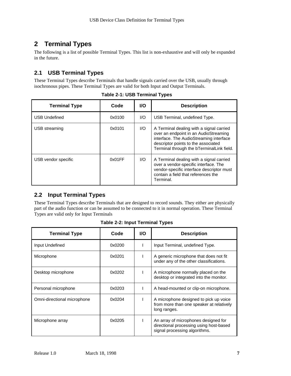## **2 Terminal Types**

The following is a list of possible Terminal Types. This list is non-exhaustive and will only be expanded in the future.

### **2.1 USB Terminal Types**

These Terminal Types describe Terminals that handle signals carried over the USB, usually through isochronous pipes. These Terminal Types are valid for both Input and Output Terminals.

| <b>Terminal Type</b> | Code   | <b>I/O</b> | <b>Description</b>                                                                                                                                                                                               |
|----------------------|--------|------------|------------------------------------------------------------------------------------------------------------------------------------------------------------------------------------------------------------------|
| <b>USB Undefined</b> | 0x0100 | 1/O        | USB Terminal, undefined Type.                                                                                                                                                                                    |
| USB streaming        | 0x0101 | 1/O        | A Terminal dealing with a signal carried<br>over an endpoint in an AudioStreaming<br>interface. The AudioStreaming interface<br>descriptor points to the associated<br>Terminal through the bTerminalLink field. |
| USB vendor specific  | 0x01FF | 1/O        | A Terminal dealing with a signal carried<br>over a vendor-specific interface. The<br>vendor-specific interface descriptor must<br>contain a field that references the<br>Terminal.                               |

**Table 2-1: USB Terminal Types**

#### **2.2 Input Terminal Types**

These Terminal Types describe Terminals that are designed to record sounds. They either are physically part of the audio function or can be assumed to be connected to it in normal operation. These Terminal Types are valid only for Input Terminals

| <b>Terminal Type</b>        | Code   | <b>I/O</b> | <b>Description</b>                                                                                               |
|-----------------------------|--------|------------|------------------------------------------------------------------------------------------------------------------|
| Input Undefined             | 0x0200 |            | Input Terminal, undefined Type.                                                                                  |
| Microphone                  | 0x0201 |            | A generic microphone that does not fit<br>under any of the other classifications.                                |
| Desktop microphone          | 0x0202 |            | A microphone normally placed on the<br>desktop or integrated into the monitor.                                   |
| Personal microphone         | 0x0203 |            | A head-mounted or clip-on microphone.                                                                            |
| Omni-directional microphone | 0x0204 |            | A microphone designed to pick up voice<br>from more than one speaker at relatively<br>long ranges.               |
| Microphone array            | 0x0205 |            | An array of microphones designed for<br>directional processing using host-based<br>signal processing algorithms. |

**Table 2-2: Input Terminal Types**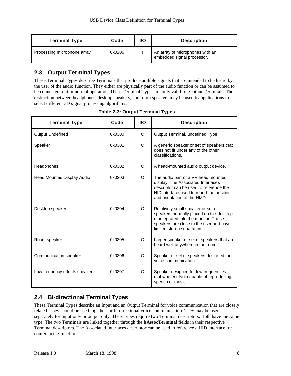| <b>Terminal Type</b>        | Code   | I/O | <b>Description</b>                                            |
|-----------------------------|--------|-----|---------------------------------------------------------------|
| Processing microphone array | 0x0206 |     | An array of microphones with an<br>embedded signal processor. |

#### **2.3 Output Terminal Types**

These Terminal Types describe Terminals that produce audible signals that are intended to be heard by the user of the audio function. They either are physically part of the audio function or can be assumed to be connected to it in normal operation. These Terminal Types are only valid for Output Terminals. The distinction between headphones, desktop speakers, and room speakers may be used by applications to select different 3D signal processing algorithms.

| <b>Terminal Type</b>              | Code   | <b>I/O</b> | <b>Description</b>                                                                                                                                                                               |
|-----------------------------------|--------|------------|--------------------------------------------------------------------------------------------------------------------------------------------------------------------------------------------------|
| <b>Output Undefined</b>           | 0x0300 | $\Omega$   | Output Terminal, undefined Type.                                                                                                                                                                 |
| Speaker                           | 0x0301 | O          | A generic speaker or set of speakers that<br>does not fit under any of the other<br>classifications.                                                                                             |
| Headphones                        | 0x0302 | O          | A head-mounted audio output device.                                                                                                                                                              |
| <b>Head Mounted Display Audio</b> | 0x0303 | O          | The audio part of a VR head mounted<br>display. The Associated Interfaces<br>descriptor can be used to reference the<br>HID interface used to report the position<br>and orientation of the HMD. |
| Desktop speaker                   | 0x0304 | O          | Relatively small speaker or set of<br>speakers normally placed on the desktop<br>or integrated into the monitor. These<br>speakers are close to the user and have<br>limited stereo separation.  |
| Room speaker                      | 0x0305 | O          | Larger speaker or set of speakers that are<br>heard well anywhere in the room.                                                                                                                   |
| Communication speaker             | 0x0306 | $\Omega$   | Speaker or set of speakers designed for<br>voice communication.                                                                                                                                  |
| Low frequency effects speaker     | 0x0307 | $\circ$    | Speaker designed for low frequencies<br>(subwoofer). Not capable of reproducing<br>speech or music.                                                                                              |

## **2.4 Bi-directional Terminal Types**

These Terminal Types describe an Input and an Output Terminal for voice communication that are closely related. They should be used together for bi-directional voice communication. They may be used separately for input only or output only. These types require two Terminal descriptors. Both have the same type. The two Terminals are linked together through the **bAssocTerminal** fields in their respective Terminal descriptors. The Associated Interfaces descriptor can be used to reference a HID interface for conferencing functions.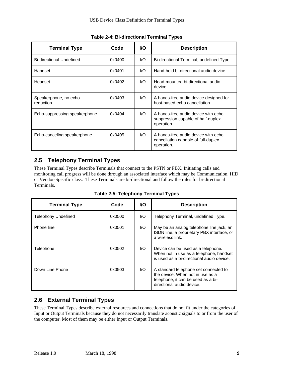| <b>Terminal Type</b>               | Code   | <b>I/O</b> | <b>Description</b>                                                                       |
|------------------------------------|--------|------------|------------------------------------------------------------------------------------------|
| <b>Bi-directional Undefined</b>    | 0x0400 | 1/O        | Bi-directional Terminal, undefined Type.                                                 |
| Handset                            | 0x0401 | 1/O        | Hand-held bi-directional audio device.                                                   |
| Headset                            | 0x0402 | 1/O        | Head-mounted bi-directional audio<br>device.                                             |
| Speakerphone, no echo<br>reduction | 0x0403 | 1/O        | A hands-free audio device designed for<br>host-based echo cancellation.                  |
| Echo-suppressing speakerphone      | 0x0404 | 1/O        | A hands-free audio device with echo<br>suppression capable of half-duplex<br>operation.  |
| Echo-canceling speakerphone        | 0x0405 | 1/O        | A hands-free audio device with echo<br>cancellation capable of full-duplex<br>operation. |

**Table 2-4: Bi-directional Terminal Types**

#### **2.5 Telephony Terminal Types**

These Terminal Types describe Terminals that connect to the PSTN or PBX. Initiating calls and monitoring call progress will be done through an associated interface which may be Communication, HID or Vendor-Specific class. These Terminals are bi-directional and follow the rules for bi-directional Terminals.

| <b>Terminal Type</b> | Code   | <b>VO</b> | <b>Description</b>                                                                                                                           |
|----------------------|--------|-----------|----------------------------------------------------------------------------------------------------------------------------------------------|
| Telephony Undefined  | 0x0500 | I/O       | Telephony Terminal, undefined Type.                                                                                                          |
| Phone line           | 0x0501 | 1/O       | May be an analog telephone line jack, an<br>ISDN line, a proprietary PBX interface, or<br>a wireless link.                                   |
| Telephone            | 0x0502 | I/O       | Device can be used as a telephone.<br>When not in use as a telephone, handset<br>is used as a bi-directional audio device.                   |
| Down Line Phone      | 0x0503 | 1/O       | A standard telephone set connected to<br>the device. When not in use as a<br>telephone, it can be used as a bi-<br>directional audio device. |

**Table 2-5: Telephony Terminal Types**

#### **2.6 External Terminal Types**

These Terminal Types describe external resources and connections that do not fit under the categories of Input or Output Terminals because they do not necessarily translate acoustic signals to or from the user of the computer. Most of them may be either Input or Output Terminals.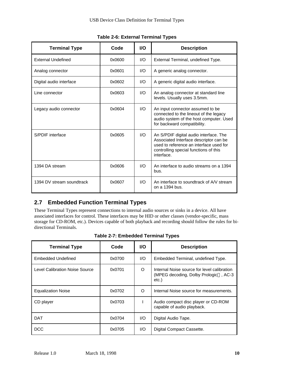| <b>Terminal Type</b>      | Code   | <b>VO</b> | <b>Description</b>                                                                                                                                                                 |
|---------------------------|--------|-----------|------------------------------------------------------------------------------------------------------------------------------------------------------------------------------------|
| <b>External Undefined</b> | 0x0600 | I/O       | External Terminal, undefined Type.                                                                                                                                                 |
| Analog connector          | 0x0601 | 1/O       | A generic analog connector.                                                                                                                                                        |
| Digital audio interface   | 0x0602 | 1/O       | A generic digital audio interface.                                                                                                                                                 |
| Line connector            | 0x0603 | 1/O       | An analog connector at standard line<br>levels. Usually uses 3.5mm.                                                                                                                |
| Legacy audio connector    | 0x0604 | 1/O       | An input connector assumed to be<br>connected to the lineout of the legacy<br>audio system of the host computer. Used<br>for backward compatibility.                               |
| S/PDIF interface          | 0x0605 | 1/O       | An S/PDIF digital audio interface. The<br>Associated Interface descriptor can be<br>used to reference an interface used for<br>controlling special functions of this<br>interface. |
| 1394 DA stream            | 0x0606 | 1/O       | An interface to audio streams on a 1394<br>bus.                                                                                                                                    |
| 1394 DV stream soundtrack | 0x0607 | 1/O       | An interface to soundtrack of A/V stream<br>on a 1394 bus.                                                                                                                         |

**Table 2-6: External Terminal Types**

#### **2.7 Embedded Function Terminal Types**

These Terminal Types represent connections to internal audio sources or sinks in a device. All have associated interfaces for control. These interfaces may be HID or other classes (vendor-specific, mass storage for CD-ROM, etc.). Devices capable of both playback and recording should follow the rules for bidirectional Terminals.

| <b>Terminal Type</b>           | Code   | <b>VO</b> | <b>Description</b>                                                                            |
|--------------------------------|--------|-----------|-----------------------------------------------------------------------------------------------|
| <b>Embedded Undefined</b>      | 0x0700 | 1/O       | Embedded Terminal, undefined Type.                                                            |
| Level Calibration Noise Source | 0x0701 | O         | Internal Noise source for level calibration<br>(MPEG decoding, Dolby Prologic™, AC-3<br>etc.) |
| <b>Equalization Noise</b>      | 0x0702 | Ω         | Internal Noise source for measurements.                                                       |
| CD player                      | 0x0703 |           | Audio compact disc player or CD-ROM<br>capable of audio playback.                             |
| <b>DAT</b>                     | 0x0704 | 1/O       | Digital Audio Tape.                                                                           |
| DCC                            | 0x0705 | 1/O       | Digital Compact Cassette.                                                                     |

**Table 2-7: Embedded Terminal Types**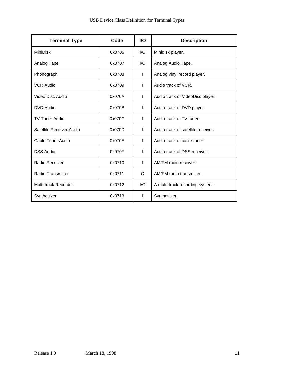| <b>Terminal Type</b>     | Code   | <b>I/O</b> | <b>Description</b>                 |
|--------------------------|--------|------------|------------------------------------|
| <b>MiniDisk</b>          | 0x0706 | I/O        | Minidisk player.                   |
| Analog Tape              | 0x0707 | I/O        | Analog Audio Tape.                 |
| Phonograph               | 0x0708 | L          | Analog vinyl record player.        |
| <b>VCR Audio</b>         | 0x0709 | ı          | Audio track of VCR.                |
| Video Disc Audio         | 0x070A | L          | Audio track of VideoDisc player.   |
| DVD Audio                | 0x070B | ı          | Audio track of DVD player.         |
| <b>TV Tuner Audio</b>    | 0x070C | T          | Audio track of TV tuner.           |
| Satellite Receiver Audio | 0x070D | T          | Audio track of satellite receiver. |
| Cable Tuner Audio        | 0x070E | L          | Audio track of cable tuner.        |
| <b>DSS Audio</b>         | 0x070F | T          | Audio track of DSS receiver.       |
| Radio Receiver           | 0x0710 | I.         | AM/FM radio receiver.              |
| <b>Radio Transmitter</b> | 0x0711 | O          | AM/FM radio transmitter.           |
| Multi-track Recorder     | 0x0712 | 1/O        | A multi-track recording system.    |
| Synthesizer              | 0x0713 | I.         | Synthesizer.                       |